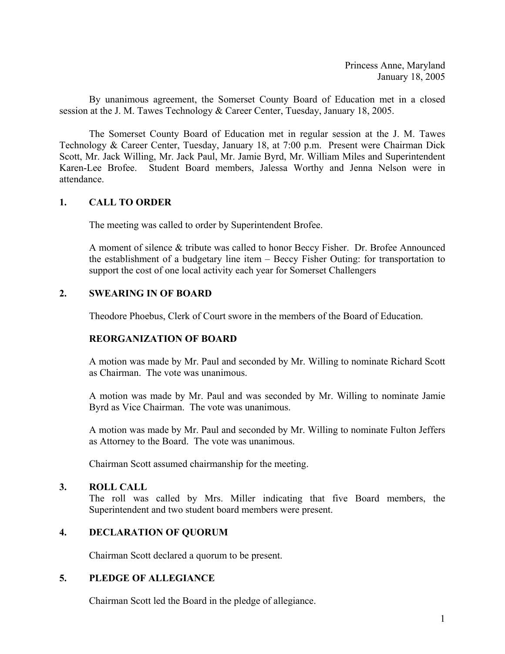Princess Anne, Maryland January 18, 2005

By unanimous agreement, the Somerset County Board of Education met in a closed session at the J. M. Tawes Technology & Career Center, Tuesday, January 18, 2005.

 The Somerset County Board of Education met in regular session at the J. M. Tawes Technology & Career Center, Tuesday, January 18, at 7:00 p.m. Present were Chairman Dick Scott, Mr. Jack Willing, Mr. Jack Paul, Mr. Jamie Byrd, Mr. William Miles and Superintendent Karen-Lee Brofee. Student Board members, Jalessa Worthy and Jenna Nelson were in attendance.

## **1. CALL TO ORDER**

The meeting was called to order by Superintendent Brofee.

A moment of silence & tribute was called to honor Beccy Fisher. Dr. Brofee Announced the establishment of a budgetary line item – Beccy Fisher Outing: for transportation to support the cost of one local activity each year for Somerset Challengers

## **2. SWEARING IN OF BOARD**

Theodore Phoebus, Clerk of Court swore in the members of the Board of Education.

## **REORGANIZATION OF BOARD**

A motion was made by Mr. Paul and seconded by Mr. Willing to nominate Richard Scott as Chairman. The vote was unanimous.

A motion was made by Mr. Paul and was seconded by Mr. Willing to nominate Jamie Byrd as Vice Chairman. The vote was unanimous.

A motion was made by Mr. Paul and seconded by Mr. Willing to nominate Fulton Jeffers as Attorney to the Board. The vote was unanimous.

Chairman Scott assumed chairmanship for the meeting.

## **3. ROLL CALL**

The roll was called by Mrs. Miller indicating that five Board members, the Superintendent and two student board members were present.

## **4. DECLARATION OF QUORUM**

Chairman Scott declared a quorum to be present.

## **5. PLEDGE OF ALLEGIANCE**

Chairman Scott led the Board in the pledge of allegiance.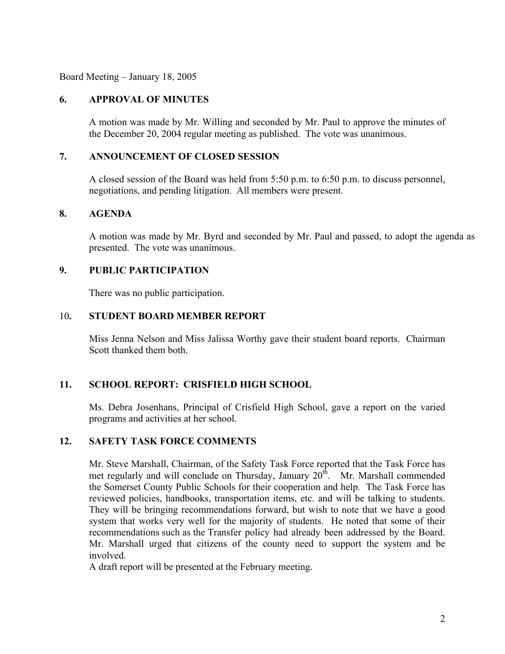Board Meeting – January 18, 2005

## **6. APPROVAL OF MINUTES**

A motion was made by Mr. Willing and seconded by Mr. Paul to approve the minutes of the December 20, 2004 regular meeting as published. The vote was unanimous.

## **7. ANNOUNCEMENT OF CLOSED SESSION**

A closed session of the Board was held from 5:50 p.m. to 6:50 p.m. to discuss personnel, negotiations, and pending litigation. All members were present.

## **8. AGENDA**

A motion was made by Mr. Byrd and seconded by Mr. Paul and passed, to adopt the agenda as presented. The vote was unanimous.

## **9. PUBLIC PARTICIPATION**

There was no public participation.

## 10**. STUDENT BOARD MEMBER REPORT**

Miss Jenna Nelson and Miss Jalissa Worthy gave their student board reports. Chairman Scott thanked them both.

## **11. SCHOOL REPORT: CRISFIELD HIGH SCHOOL**

Ms. Debra Josenhans, Principal of Crisfield High School, gave a report on the varied programs and activities at her school.

## **12. SAFETY TASK FORCE COMMENTS**

Mr. Steve Marshall, Chairman, of the Safety Task Force reported that the Task Force has met regularly and will conclude on Thursday, January  $20<sup>th</sup>$ . Mr. Marshall commended the Somerset County Public Schools for their cooperation and help. The Task Force has reviewed policies, handbooks, transportation items, etc. and will be talking to students. They will be bringing recommendations forward, but wish to note that we have a good system that works very well for the majority of students. He noted that some of their recommendations such as the Transfer policy had already been addressed by the Board. Mr. Marshall urged that citizens of the county need to support the system and be involved.

A draft report will be presented at the February meeting.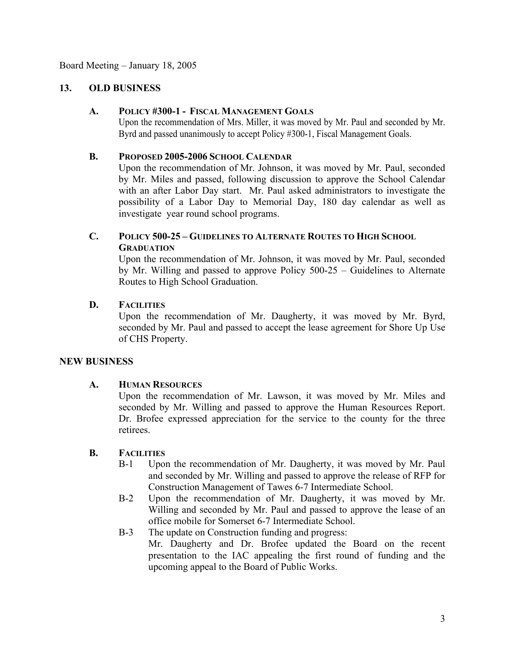Board Meeting – January 18, 2005

## **13. OLD BUSINESS**

## **A. POLICY #300-1 - FISCAL MANAGEMENT GOALS**

Upon the recommendation of Mrs. Miller, it was moved by Mr. Paul and seconded by Mr. Byrd and passed unanimously to accept Policy #300-1, Fiscal Management Goals.

## **B. PROPOSED 2005-2006 SCHOOL CALENDAR**

Upon the recommendation of Mr. Johnson, it was moved by Mr. Paul, seconded by Mr. Miles and passed, following discussion to approve the School Calendar with an after Labor Day start. Mr. Paul asked administrators to investigate the possibility of a Labor Day to Memorial Day, 180 day calendar as well as investigate year round school programs.

# **C. POLICY 500-25 – GUIDELINES TO ALTERNATE ROUTES TO HIGH SCHOOL GRADUATION**

Upon the recommendation of Mr. Johnson, it was moved by Mr. Paul, seconded by Mr. Willing and passed to approve Policy 500-25 – Guidelines to Alternate Routes to High School Graduation.

## **D. FACILITIES**

Upon the recommendation of Mr. Daugherty, it was moved by Mr. Byrd, seconded by Mr. Paul and passed to accept the lease agreement for Shore Up Use of CHS Property.

## **NEW BUSINESS**

## **A. HUMAN RESOURCES**

Upon the recommendation of Mr. Lawson, it was moved by Mr. Miles and seconded by Mr. Willing and passed to approve the Human Resources Report. Dr. Brofee expressed appreciation for the service to the county for the three retirees.

## **B. FACILITIES**

- B-1 Upon the recommendation of Mr. Daugherty, it was moved by Mr. Paul and seconded by Mr. Willing and passed to approve the release of RFP for Construction Management of Tawes 6-7 Intermediate School.
- B-2 Upon the recommendation of Mr. Daugherty, it was moved by Mr. Willing and seconded by Mr. Paul and passed to approve the lease of an office mobile for Somerset 6-7 Intermediate School.
- B-3 The update on Construction funding and progress: Mr. Daugherty and Dr. Brofee updated the Board on the recent presentation to the IAC appealing the first round of funding and the upcoming appeal to the Board of Public Works.